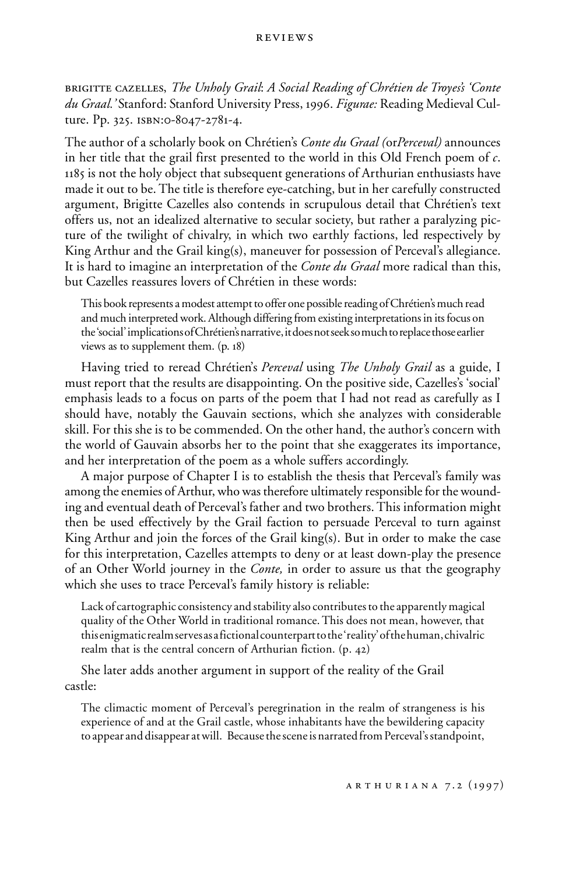brigitte cazelles, *The Unholy Grail*: *A Social Reading of Chrétien de Troyes's 'Conte du Graal.'* Stanford: Stanford University Press, 1996. *Figurae:* Reading Medieval Culture. Pp. 325. isbn:0-8047-2781-4.

The author of a scholarly book on Chrétien's *Conte du Graal (*or*Perceval)* announces in her title that the grail first presented to the world in this Old French poem of *c*. 1185 is not the holy object that subsequent generations of Arthurian enthusiasts have made it out to be. The title is therefore eye-catching, but in her carefully constructed argument, Brigitte Cazelles also contends in scrupulous detail that Chrétien's text offers us, not an idealized alternative to secular society, but rather a paralyzing picture of the twilight of chivalry, in which two earthly factions, led respectively by King Arthur and the Grail king(s), maneuver for possession of Perceval's allegiance. It is hard to imagine an interpretation of the *Conte du Graal* more radical than this, but Cazelles reassures lovers of Chrétien in these words:

This book represents a modest attempt to offer one possible reading of Chrétien's much read and much interpreted work. Although differing from existing interpretations in its focus on the 'social' implications of Chrétien's narrative, it does not seek so much to replace those earlier views as to supplement them. (p. 18)

Having tried to reread Chrétien's *Perceval* using *The Unholy Grail* as a guide, I must report that the results are disappointing. On the positive side, Cazelles's 'social' emphasis leads to a focus on parts of the poem that I had not read as carefully as I should have, notably the Gauvain sections, which she analyzes with considerable skill. For this she is to be commended. On the other hand, the author's concern with the world of Gauvain absorbs her to the point that she exaggerates its importance, and her interpretation of the poem as a whole suffers accordingly.

A major purpose of Chapter I is to establish the thesis that Perceval's family was among the enemies of Arthur, who was therefore ultimately responsible for the wounding and eventual death of Perceval's father and two brothers. This information might then be used effectively by the Grail faction to persuade Perceval to turn against King Arthur and join the forces of the Grail king(s). But in order to make the case for this interpretation, Cazelles attempts to deny or at least down-play the presence of an Other World journey in the *Conte,* in order to assure us that the geography which she uses to trace Perceval's family history is reliable:

Lack of cartographic consistency and stability also contributes to the apparently magical quality of the Other World in traditional romance. This does not mean, however, that this enigmatic realm serves as a fictional counterpart to the 'reality' of the human, chivalric realm that is the central concern of Arthurian fiction. (p. 42)

She later adds another argument in support of the reality of the Grail castle:

The climactic moment of Perceval's peregrination in the realm of strangeness is his experience of and at the Grail castle, whose inhabitants have the bewildering capacity to appear and disappear at will. Because the scene is narrated from Perceval's standpoint,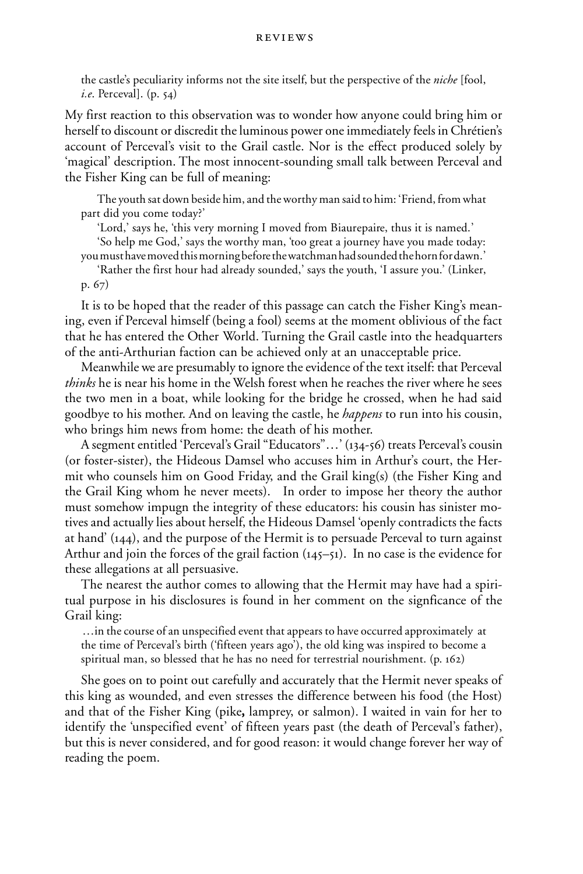the castle's peculiarity informs not the site itself, but the perspective of the *niche* [fool, *i.e*. Perceval]. (p. 54)

My first reaction to this observation was to wonder how anyone could bring him or herself to discount or discredit the luminous power one immediately feels in Chrétien's account of Perceval's visit to the Grail castle. Nor is the effect produced solely by 'magical' description. The most innocent-sounding small talk between Perceval and the Fisher King can be full of meaning:

The youth sat down beside him, and the worthy man said to him: 'Friend, from what part did you come today?'

'Lord,' says he, 'this very morning I moved from Biaurepaire, thus it is named.'

'So help me God,' says the worthy man, 'too great a journey have you made today:

you must have moved this morning before the watchman had sounded the horn for dawn.'

'Rather the first hour had already sounded,' says the youth, 'I assure you.' (Linker, p. 67)

It is to be hoped that the reader of this passage can catch the Fisher King's meaning, even if Perceval himself (being a fool) seems at the moment oblivious of the fact that he has entered the Other World. Turning the Grail castle into the headquarters of the anti-Arthurian faction can be achieved only at an unacceptable price.

Meanwhile we are presumably to ignore the evidence of the text itself: that Perceval *thinks* he is near his home in the Welsh forest when he reaches the river where he sees the two men in a boat, while looking for the bridge he crossed, when he had said goodbye to his mother. And on leaving the castle, he *happens* to run into his cousin, who brings him news from home: the death of his mother.

A segment entitled 'Perceval's Grail "Educators"…' (134-56) treats Perceval's cousin (or foster-sister), the Hideous Damsel who accuses him in Arthur's court, the Hermit who counsels him on Good Friday, and the Grail king(s) (the Fisher King and the Grail King whom he never meets). In order to impose her theory the author must somehow impugn the integrity of these educators: his cousin has sinister motives and actually lies about herself, the Hideous Damsel 'openly contradicts the facts at hand' (144), and the purpose of the Hermit is to persuade Perceval to turn against Arthur and join the forces of the grail faction (145–51). In no case is the evidence for these allegations at all persuasive.

The nearest the author comes to allowing that the Hermit may have had a spiritual purpose in his disclosures is found in her comment on the signficance of the Grail king:

…in the course of an unspecified event that appears to have occurred approximately at the time of Perceval's birth ('fifteen years ago'), the old king was inspired to become a spiritual man, so blessed that he has no need for terrestrial nourishment. (p. 162)

She goes on to point out carefully and accurately that the Hermit never speaks of this king as wounded, and even stresses the difference between his food (the Host) and that of the Fisher King (pike, lamprey, or salmon). I waited in vain for her to , identify the 'unspecified event' of fifteen years past (the death of Perceval's father), but this is never considered, and for good reason: it would change forever her way of reading the poem.